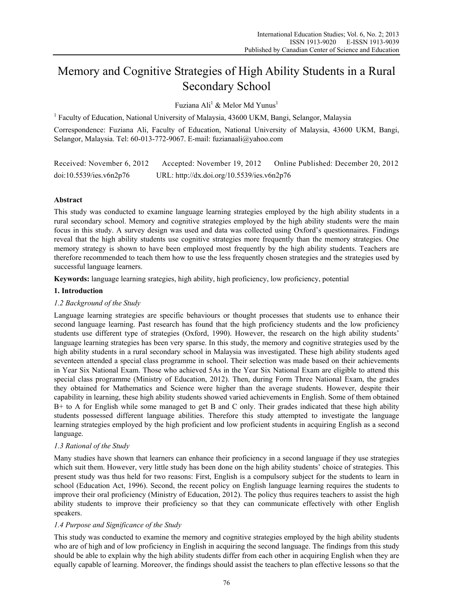# Memory and Cognitive Strategies of High Ability Students in a Rural Secondary School

Fuziana Ali<sup>1</sup> & Melor Md Yunus<sup>1</sup>

<sup>1</sup> Faculty of Education, National University of Malaysia, 43600 UKM, Bangi, Selangor, Malaysia

Correspondence: Fuziana Ali, Faculty of Education, National University of Malaysia, 43600 UKM, Bangi, Selangor, Malaysia. Tel: 60-013-772-9067. E-mail: fuzianaali@yahoo.com

Received: November 6, 2012 Accepted: November 19, 2012 Online Published: December 20, 2012 doi:10.5539/ies.v6n2p76 URL: http://dx.doi.org/10.5539/ies.v6n2p76

## **Abstract**

This study was conducted to examine language learning strategies employed by the high ability students in a rural secondary school. Memory and cognitive strategies employed by the high ability students were the main focus in this study. A survey design was used and data was collected using Oxford's questionnaires. Findings reveal that the high ability students use cognitive strategies more frequently than the memory strategies. One memory strategy is shown to have been employed most frequently by the high ability students. Teachers are therefore recommended to teach them how to use the less frequently chosen strategies and the strategies used by successful language learners.

**Keywords:** language learning srategies, high ability, high proficiency, low proficiency, potential

### **1. Introduction**

## *1.2 Background of the Study*

Language learning strategies are specific behaviours or thought processes that students use to enhance their second language learning. Past research has found that the high proficiency students and the low proficiency students use different type of strategies (Oxford, 1990). However, the research on the high ability students' language learning strategies has been very sparse. In this study, the memory and cognitive strategies used by the high ability students in a rural secondary school in Malaysia was investigated. These high ability students aged seventeen attended a special class programme in school. Their selection was made based on their achievements in Year Six National Exam. Those who achieved 5As in the Year Six National Exam are eligible to attend this special class programme (Ministry of Education, 2012). Then, during Form Three National Exam, the grades they obtained for Mathematics and Science were higher than the average students. However, despite their capability in learning, these high ability students showed varied achievements in English. Some of them obtained B+ to A for English while some managed to get B and C only. Their grades indicated that these high ability students possessed different language abilities. Therefore this study attempted to investigate the language learning strategies employed by the high proficient and low proficient students in acquiring English as a second language.

## *1.3 Rational of the Study*

Many studies have shown that learners can enhance their proficiency in a second language if they use strategies which suit them. However, very little study has been done on the high ability students' choice of strategies. This present study was thus held for two reasons: First, English is a compulsory subject for the students to learn in school (Education Act, 1996). Second, the recent policy on English language learning requires the students to improve their oral proficiency (Ministry of Education, 2012). The policy thus requires teachers to assist the high ability students to improve their proficiency so that they can communicate effectively with other English speakers.

## *1.4 Purpose and Significance of the Study*

This study was conducted to examine the memory and cognitive strategies employed by the high ability students who are of high and of low proficiency in English in acquiring the second language. The findings from this study should be able to explain why the high ability students differ from each other in acquiring English when they are equally capable of learning. Moreover, the findings should assist the teachers to plan effective lessons so that the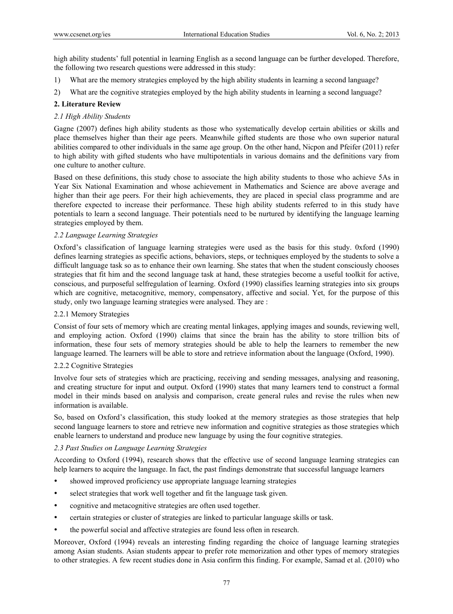high ability students' full potential in learning English as a second language can be further developed. Therefore, the following two research questions were addressed in this study:

- 1) What are the memory strategies employed by the high ability students in learning a second language?
- 2) What are the cognitive strategies employed by the high ability students in learning a second language?

## **2. Literature Review**

## *2.1 High Ability Students*

Gagne (2007) defines high ability students as those who systematically develop certain abilities or skills and place themselves higher than their age peers. Meanwhile gifted students are those who own superior natural abilities compared to other individuals in the same age group. On the other hand, Nicpon and Pfeifer (2011) refer to high ability with gifted students who have multipotentials in various domains and the definitions vary from one culture to another culture.

Based on these definitions, this study chose to associate the high ability students to those who achieve 5As in Year Six National Examination and whose achievement in Mathematics and Science are above average and higher than their age peers. For their high achievements, they are placed in special class programme and are therefore expected to increase their performance. These high ability students referred to in this study have potentials to learn a second language. Their potentials need to be nurtured by identifying the language learning strategies employed by them.

### *2.2 Language Learning Strategies*

Oxford's classification of language learning strategies were used as the basis for this study. 0xford (1990) defines learning strategies as specific actions, behaviors, steps, or techniques employed by the students to solve a difficult language task so as to enhance their own learning. She states that when the student consciously chooses strategies that fit him and the second language task at hand, these strategies become a useful toolkit for active, conscious, and purposeful selfregulation of learning. Oxford (1990) classifies learning strategies into six groups which are cognitive, metacognitive, memory, compensatory, affective and social. Yet, for the purpose of this study, only two language learning strategies were analysed. They are :

#### 2.2.1 Memory Strategies

Consist of four sets of memory which are creating mental linkages, applying images and sounds, reviewing well, and employing action. Oxford (1990) claims that since the brain has the ability to store trillion bits of information, these four sets of memory strategies should be able to help the learners to remember the new language learned. The learners will be able to store and retrieve information about the language (Oxford, 1990).

#### 2.2.2 Cognitive Strategies

Involve four sets of strategies which are practicing, receiving and sending messages, analysing and reasoning, and creating structure for input and output. Oxford (1990) states that many learners tend to construct a formal model in their minds based on analysis and comparison, create general rules and revise the rules when new information is available.

So, based on Oxford's classification, this study looked at the memory strategies as those strategies that help second language learners to store and retrieve new information and cognitive strategies as those strategies which enable learners to understand and produce new language by using the four cognitive strategies.

## *2.3 Past Studies on Language Learning Strategies*

According to Oxford (1994), research shows that the effective use of second language learning strategies can help learners to acquire the language. In fact, the past findings demonstrate that successful language learners

- showed improved proficiency use appropriate language learning strategies
- select strategies that work well together and fit the language task given.
- cognitive and metacognitive strategies are often used together.
- certain strategies or cluster of strategies are linked to particular language skills or task.
- the powerful social and affective strategies are found less often in research.

Moreover, Oxford (1994) reveals an interesting finding regarding the choice of language learning strategies among Asian students. Asian students appear to prefer rote memorization and other types of memory strategies to other strategies. A few recent studies done in Asia confirm this finding. For example, Samad et al. (2010) who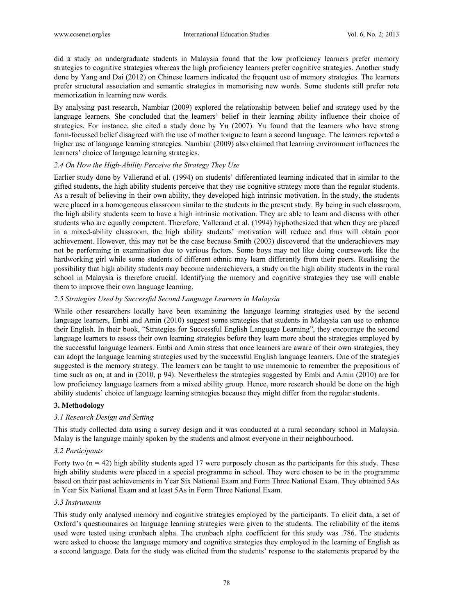did a study on undergraduate students in Malaysia found that the low proficiency learners prefer memory strategies to cognitive strategies whereas the high proficiency learners prefer cognitive strategies. Another study done by Yang and Dai (2012) on Chinese learners indicated the frequent use of memory strategies. The learners prefer structural association and semantic strategies in memorising new words. Some students still prefer rote memorization in learning new words.

By analysing past research, Nambiar (2009) explored the relationship between belief and strategy used by the language learners. She concluded that the learners' belief in their learning ability influence their choice of strategies. For instance, she cited a study done by Yu (2007). Yu found that the learners who have strong form-focussed belief disagreed with the use of mother tongue to learn a second language. The learners reported a higher use of language learning strategies. Nambiar (2009) also claimed that learning environment influences the learners' choice of language learning strategies.

### *2.4 On How the High-Ability Perceive the Strategy They Use*

Earlier study done by Vallerand et al. (1994) on students' differentiated learning indicated that in similar to the gifted students, the high ability students perceive that they use cognitive strategy more than the regular students. As a result of believing in their own ability, they developed high intrinsic motivation. In the study, the students were placed in a homogeneous classroom similar to the students in the present study. By being in such classroom, the high ability students seem to have a high intrinsic motivation. They are able to learn and discuss with other students who are equally competent. Therefore, Vallerand et al. (1994) hyphothesized that when they are placed in a mixed-ability classroom, the high ability students' motivation will reduce and thus will obtain poor achievement. However, this may not be the case because Smith (2003) discovered that the underachievers may not be performing in examination due to various factors. Some boys may not like doing coursework like the hardworking girl while some students of different ethnic may learn differently from their peers. Realising the possibility that high ability students may become underachievers, a study on the high ability students in the rural school in Malaysia is therefore crucial. Identifying the memory and cognitive strategies they use will enable them to improve their own language learning.

### *2.5 Strategies Used by Successful Second Language Learners in Malaysia*

While other researchers locally have been examining the language learning strategies used by the second language learners, Embi and Amin (2010) suggest some strategies that students in Malaysia can use to enhance their English. In their book, "Strategies for Successful English Language Learning", they encourage the second language learners to assess their own learning strategies before they learn more about the strategies employed by the successful language learners. Embi and Amin stress that once learners are aware of their own strategies, they can adopt the language learning strategies used by the successful English language learners. One of the strategies suggested is the memory strategy. The learners can be taught to use mnemonic to remember the prepositions of time such as on, at and in (2010, p 94). Nevertheless the strategies suggested by Embi and Amin (2010) are for low proficiency language learners from a mixed ability group. Hence, more research should be done on the high ability students' choice of language learning strategies because they might differ from the regular students.

#### **3. Methodology**

#### *3.1 Research Design and Setting*

This study collected data using a survey design and it was conducted at a rural secondary school in Malaysia. Malay is the language mainly spoken by the students and almost everyone in their neighbourhood.

#### *3.2 Participants*

Forty two  $(n = 42)$  high ability students aged 17 were purposely chosen as the participants for this study. These high ability students were placed in a special programme in school. They were chosen to be in the programme based on their past achievements in Year Six National Exam and Form Three National Exam. They obtained 5As in Year Six National Exam and at least 5As in Form Three National Exam.

#### *3.3 Instruments*

This study only analysed memory and cognitive strategies employed by the participants. To elicit data, a set of Oxford's questionnaires on language learning strategies were given to the students. The reliability of the items used were tested using cronbach alpha. The cronbach alpha coefficient for this study was .786. The students were asked to choose the language memory and cognitive strategies they employed in the learning of English as a second language. Data for the study was elicited from the students' response to the statements prepared by the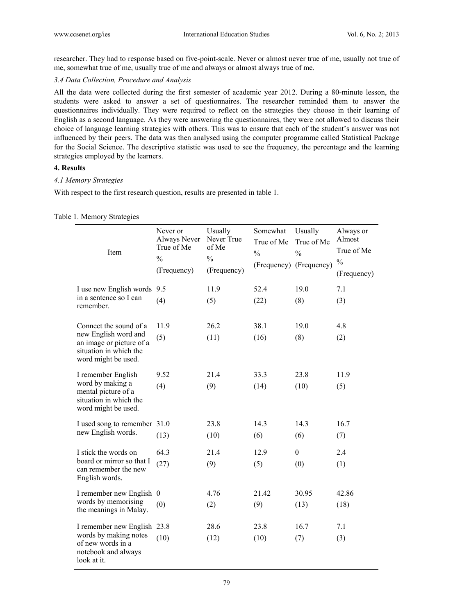researcher. They had to response based on five-point-scale. Never or almost never true of me, usually not true of me, somewhat true of me, usually true of me and always or almost always true of me.

## *3.4 Data Collection, Procedure and Analysis*

All the data were collected during the first semester of academic year 2012. During a 80-minute lesson, the students were asked to answer a set of questionnaires. The researcher reminded them to answer the questionnaires individually. They were required to reflect on the strategies they choose in their learning of English as a second language. As they were answering the questionnaires, they were not allowed to discuss their choice of language learning strategies with others. This was to ensure that each of the student's answer was not influenced by their peers. The data was then analysed using the computer programme called Statistical Package for the Social Science. The descriptive statistic was used to see the frequency, the percentage and the learning strategies employed by the learners.

## **4. Results**

### *4.1 Memory Strategies*

With respect to the first research question, results are presented in table 1.

#### Table 1. Memory Strategies

| Item                                                                                                                        | Never or<br>Always Never<br>True of Me<br>$\frac{0}{0}$<br>(Frequency) | Usually<br>Never True<br>of Me<br>$\frac{0}{0}$<br>(Frequency) | Somewhat<br>True of Me<br>$\frac{0}{0}$ | Usually<br>True of Me<br>$\frac{0}{0}$<br>(Frequency) (Frequency) | Always or<br>Almost<br>True of Me<br>$\frac{0}{0}$<br>(Frequency) |
|-----------------------------------------------------------------------------------------------------------------------------|------------------------------------------------------------------------|----------------------------------------------------------------|-----------------------------------------|-------------------------------------------------------------------|-------------------------------------------------------------------|
| I use new English words<br>in a sentence so I can<br>remember.                                                              | 9.5<br>(4)                                                             | 11.9<br>(5)                                                    | 52.4<br>(22)                            | 19.0<br>(8)                                                       | 7.1<br>(3)                                                        |
| Connect the sound of a<br>new English word and<br>an image or picture of a<br>situation in which the<br>word might be used. | 11.9<br>(5)                                                            | 26.2<br>(11)                                                   | 38.1<br>(16)                            | 19.0<br>(8)                                                       | 4.8<br>(2)                                                        |
| I remember English<br>word by making a<br>mental picture of a<br>situation in which the<br>word might be used.              | 9.52<br>(4)                                                            | 21.4<br>(9)                                                    | 33.3<br>(14)                            | 23.8<br>(10)                                                      | 11.9<br>(5)                                                       |
| I used song to remember 31.0<br>new English words.                                                                          | (13)                                                                   | 23.8<br>(10)                                                   | 14.3<br>(6)                             | 14.3<br>(6)                                                       | 16.7<br>(7)                                                       |
| I stick the words on<br>board or mirror so that I<br>can remember the new<br>English words.                                 | 64.3<br>(27)                                                           | 21.4<br>(9)                                                    | 12.9<br>(5)                             | $\boldsymbol{0}$<br>(0)                                           | 2.4<br>(1)                                                        |
| I remember new English 0<br>words by memorising<br>the meanings in Malay.                                                   | (0)                                                                    | 4.76<br>(2)                                                    | 21.42<br>(9)                            | 30.95<br>(13)                                                     | 42.86<br>(18)                                                     |
| I remember new English 23.8<br>words by making notes<br>of new words in a<br>notebook and always<br>look at it.             | (10)                                                                   | 28.6<br>(12)                                                   | 23.8<br>(10)                            | 16.7<br>(7)                                                       | 7.1<br>(3)                                                        |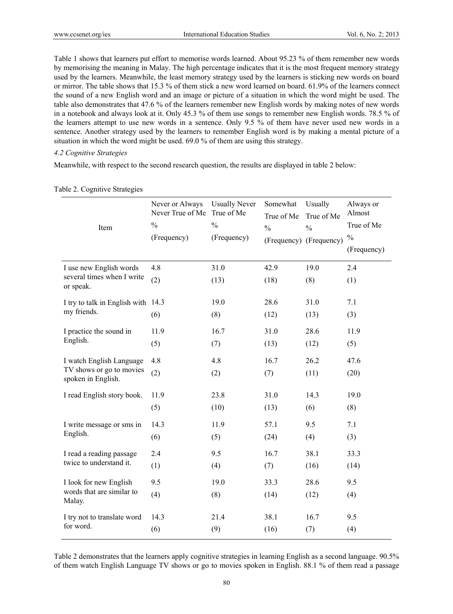Table 1 shows that learners put effort to memorise words learned. About 95.23 % of them remember new words by memorising the meaning in Malay. The high percentage indicates that it is the most frequent memory strategy used by the learners. Meanwhile, the least memory strategy used by the learners is sticking new words on board or mirror. The table shows that 15.3 % of them stick a new word learned on board. 61.9% of the learners connect the sound of a new English word and an image or picture of a situation in which the word might be used. The table also demonstrates that 47.6 % of the learners remember new English words by making notes of new words in a notebook and always look at it. Only 45.3 % of them use songs to remember new English words. 78.5 % of the learners attempt to use new words in a sentence. Only 9.5 % of them have never used new words in a sentence. Another strategy used by the learners to remember English word is by making a mental picture of a situation in which the word might be used. 69.0 % of them are using this strategy.

#### *4.2 Cognitive Strategies*

Meanwhile, with respect to the second research question, the results are displayed in table 2 below:

| Item                                                                       | Never or Always<br>Never True of Me<br>$\frac{0}{0}$<br>(Frequency) | <b>Usually Never</b><br>True of Me<br>$\frac{0}{0}$<br>(Frequency) | Somewhat<br>True of Me<br>$\frac{0}{0}$ | Usually<br>True of Me<br>$\frac{0}{0}$<br>(Frequency) (Frequency) | Always or<br>Almost<br>True of Me<br>$\frac{0}{0}$<br>(Frequency) |
|----------------------------------------------------------------------------|---------------------------------------------------------------------|--------------------------------------------------------------------|-----------------------------------------|-------------------------------------------------------------------|-------------------------------------------------------------------|
| I use new English words<br>several times when I write<br>or speak.         | 4.8<br>(2)                                                          | 31.0<br>(13)                                                       | 42.9<br>(18)                            | 19.0<br>(8)                                                       | 2.4<br>(1)                                                        |
| I try to talk in English with 14.3                                         | (6)                                                                 | 19.0                                                               | 28.6                                    | 31.0                                                              | 7.1                                                               |
| my friends.                                                                |                                                                     | (8)                                                                | (12)                                    | (13)                                                              | (3)                                                               |
| I practice the sound in                                                    | 11.9                                                                | 16.7                                                               | 31.0                                    | 28.6                                                              | 11.9                                                              |
| English.                                                                   | (5)                                                                 | (7)                                                                | (13)                                    | (12)                                                              | (5)                                                               |
| I watch English Language<br>TV shows or go to movies<br>spoken in English. | 4.8<br>(2)                                                          | 4.8<br>(2)                                                         | 16.7<br>(7)                             | 26.2<br>(11)                                                      | 47.6<br>(20)                                                      |
| I read English story book.                                                 | 11.9                                                                | 23.8                                                               | 31.0                                    | 14.3                                                              | 19.0                                                              |
|                                                                            | (5)                                                                 | (10)                                                               | (13)                                    | (6)                                                               | (8)                                                               |
| I write message or sms in                                                  | 14.3                                                                | 11.9                                                               | 57.1                                    | 9.5                                                               | 7.1                                                               |
| English.                                                                   | (6)                                                                 | (5)                                                                | (24)                                    | (4)                                                               | (3)                                                               |
| I read a reading passage                                                   | 2.4                                                                 | 9.5                                                                | 16.7                                    | 38.1                                                              | 33.3                                                              |
| twice to understand it.                                                    | (1)                                                                 | (4)                                                                | (7)                                     | (16)                                                              | (14)                                                              |
| I look for new English<br>words that are similar to<br>Malay.              | 9.5<br>(4)                                                          | 19.0<br>(8)                                                        | 33.3<br>(14)                            | 28.6<br>(12)                                                      | 9.5<br>(4)                                                        |
| I try not to translate word                                                | 14.3                                                                | 21.4                                                               | 38.1                                    | 16.7                                                              | 9.5                                                               |
| for word.                                                                  | (6)                                                                 | (9)                                                                | (16)                                    | (7)                                                               | (4)                                                               |

#### Table 2. Cognitive Strategies

Table 2 demonstrates that the learners apply cognitive strategies in learning English as a second language. 90.5% of them watch English Language TV shows or go to movies spoken in English. 88.1 % of them read a passage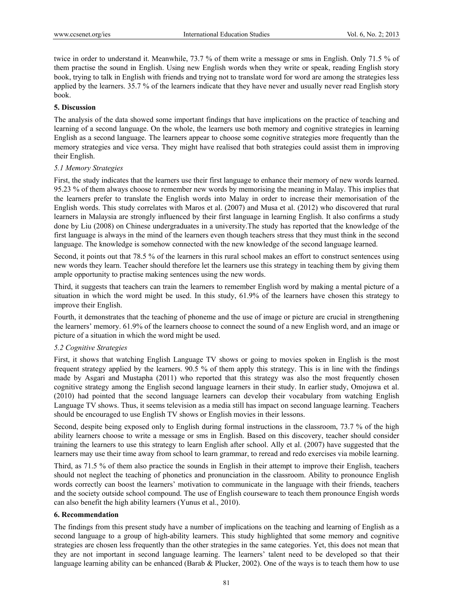twice in order to understand it. Meanwhile, 73.7 % of them write a message or sms in English. Only 71.5 % of them practise the sound in English. Using new English words when they write or speak, reading English story book, trying to talk in English with friends and trying not to translate word for word are among the strategies less applied by the learners. 35.7 % of the learners indicate that they have never and usually never read English story book.

### **5. Discussion**

The analysis of the data showed some important findings that have implications on the practice of teaching and learning of a second language. On the whole, the learners use both memory and cognitive strategies in learning English as a second language. The learners appear to choose some cognitive strategies more frequently than the memory strategies and vice versa. They might have realised that both strategies could assist them in improving their English.

### *5.1 Memory Strategies*

First, the study indicates that the learners use their first language to enhance their memory of new words learned. 95.23 % of them always choose to remember new words by memorising the meaning in Malay. This implies that the learners prefer to translate the English words into Malay in order to increase their memorisation of the English words. This study correlates with Maros et al. (2007) and Musa et al. (2012) who discovered that rural learners in Malaysia are strongly influenced by their first language in learning English. It also confirms a study done by Liu (2008) on Chinese undergraduates in a university.The study has reported that the knowledge of the first language is always in the mind of the learners even though teachers stress that they must think in the second language. The knowledge is somehow connected with the new knowledge of the second language learned.

Second, it points out that 78.5 % of the learners in this rural school makes an effort to construct sentences using new words they learn. Teacher should therefore let the learners use this strategy in teaching them by giving them ample opportunity to practise making sentences using the new words.

Third, it suggests that teachers can train the learners to remember English word by making a mental picture of a situation in which the word might be used. In this study, 61.9% of the learners have chosen this strategy to improve their English.

Fourth, it demonstrates that the teaching of phoneme and the use of image or picture are crucial in strengthening the learners' memory. 61.9% of the learners choose to connect the sound of a new English word, and an image or picture of a situation in which the word might be used.

## *5.2 Cognitive Strategies*

First, it shows that watching English Language TV shows or going to movies spoken in English is the most frequent strategy applied by the learners. 90.5 % of them apply this strategy. This is in line with the findings made by Asgari and Mustapha (2011) who reported that this strategy was also the most frequently chosen cognitive strategy among the English second language learners in their study. In earlier study, Omojuwa et al. (2010) had pointed that the second language learners can develop their vocabulary from watching English Language TV shows. Thus, it seems television as a media still has impact on second language learning. Teachers should be encouraged to use English TV shows or English movies in their lessons.

Second, despite being exposed only to English during formal instructions in the classroom, 73.7 % of the high ability learners choose to write a message or sms in English. Based on this discovery, teacher should consider training the learners to use this strategy to learn English after school. Ally et al. (2007) have suggested that the learners may use their time away from school to learn grammar, to reread and redo exercises via mobile learning.

Third, as 71.5 % of them also practice the sounds in English in their attempt to improve their English, teachers should not neglect the teaching of phonetics and pronunciation in the classroom. Ability to pronounce English words correctly can boost the learners' motivation to communicate in the language with their friends, teachers and the society outside school compound. The use of English courseware to teach them pronounce Engish words can also benefit the high ability learners (Yunus et al., 2010).

#### **6. Recommendation**

The findings from this present study have a number of implications on the teaching and learning of English as a second language to a group of high-ability learners. This study highlighted that some memory and cognitive strategies are chosen less frequently than the other strategies in the same categories. Yet, this does not mean that they are not important in second language learning. The learners' talent need to be developed so that their language learning ability can be enhanced (Barab & Plucker, 2002). One of the ways is to teach them how to use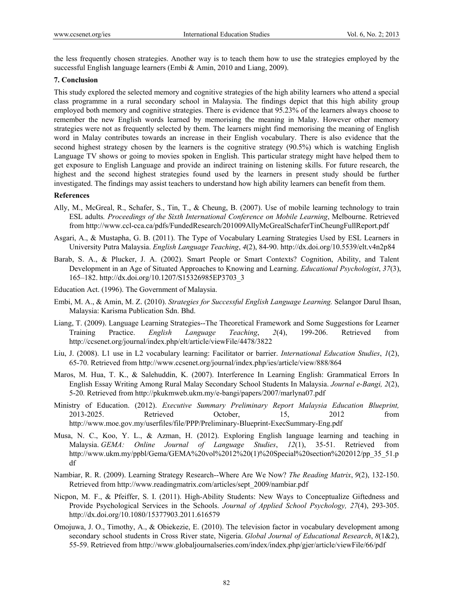the less frequently chosen strategies. Another way is to teach them how to use the strategies employed by the successful English language learners (Embi & Amin, 2010 and Liang, 2009).

#### **7. Conclusion**

This study explored the selected memory and cognitive strategies of the high ability learners who attend a special class programme in a rural secondary school in Malaysia. The findings depict that this high ability group employed both memory and cognitive strategies. There is evidence that 95.23% of the learners always choose to remember the new English words learned by memorising the meaning in Malay. However other memory strategies were not as frequently selected by them. The learners might find memorising the meaning of English word in Malay contributes towards an increase in their English vocabulary. There is also evidence that the second highest strategy chosen by the learners is the cognitive strategy (90.5%) which is watching English Language TV shows or going to movies spoken in English. This particular strategy might have helped them to get exposure to English Language and provide an indirect training on listening skills. For future research, the highest and the second highest strategies found used by the learners in present study should be further investigated. The findings may assist teachers to understand how high ability learners can benefit from them.

#### **References**

- Ally, M., McGreal, R., Schafer, S., Tin, T., & Cheung, B. (2007). Use of mobile learning technology to train ESL adults*. Proceedings of the Sixth International Conference on Mobile Learning*, Melbourne. Retrieved from http://www.ccl-cca.ca/pdfs/FundedResearch/201009AllyMcGrealSchaferTinCheungFullReport.pdf
- Asgari, A., & Mustapha, G. B. (2011). The Type of Vocabulary Learning Strategies Used by ESL Learners in University Putra Malaysia. *English Language Teaching*, *4*(2), 84-90. http://dx.doi.org/10.5539/elt.v4n2p84
- Barab, S. A., & Plucker, J. A. (2002). Smart People or Smart Contexts? Cognition, Ability, and Talent Development in an Age of Situated Approaches to Knowing and Learning. *Educational Psychologist*, *37*(3), 165–182. http://dx.doi.org/10.1207/S15326985EP3703\_3
- Education Act. (1996). The Government of Malaysia.
- Embi, M. A., & Amin, M. Z. (2010). *Strategies for Successful English Language Learning.* Selangor Darul Ihsan, Malaysia: Karisma Publication Sdn. Bhd.
- Liang, T. (2009). Language Learning Strategies--The Theoretical Framework and Some Suggestions for Learner Training Practice. *English Language Teaching*, *2*(4), 199-206. Retrieved from http://ccsenet.org/journal/index.php/elt/article/viewFile/4478/3822
- Liu, J. (2008). L1 use in L2 vocabulary learning: Facilitator or barrier. *International Education Studies*, *1*(2), 65-70. Retrieved from http://www.ccsenet.org/journal/index.php/ies/article/view/888/864
- Maros, M. Hua, T. K., & Salehuddin, K. (2007). Interference In Learning English: Grammatical Errors In English Essay Writing Among Rural Malay Secondary School Students In Malaysia. *Journal e-Bangi, 2*(2), 5-20*.* Retrieved from http://pkukmweb.ukm.my/e-bangi/papers/2007/marlyna07.pdf
- Ministry of Education. (2012). *Executive Summary Preliminary Report Malaysia Education Blueprint,*  2013-2025. Retrieved October, 15, 2012 from http://www.moe.gov.my/userfiles/file/PPP/Preliminary-Blueprint-ExecSummary-Eng.pdf
- Musa, N. C., Koo, Y. L., & Azman, H. (2012). Exploring English language learning and teaching in Malaysia. *GEMA: Online Journal of Language Studies*, *12*(1), 35-51. Retrieved from http://www.ukm.my/ppbl/Gema/GEMA%20vol%2012%20(1)%20Special%20section%202012/pp\_35\_51.p df
- Nambiar, R. R. (2009). Learning Strategy Research--Where Are We Now? *The Reading Matrix*, *9*(2), 132-150. Retrieved from http://www.readingmatrix.com/articles/sept\_2009/nambiar.pdf
- Nicpon, M. F., & Pfeiffer, S. I. (2011). High-Ability Students: New Ways to Conceptualize Giftedness and Provide Psychological Services in the Schools. *Journal of Applied School Psychology, 27*(4), 293-305. http://dx.doi.org/10.1080/15377903.2011.616579
- Omojuwa, J. O., Timothy, A., & Obiekezie, E. (2010). The television factor in vocabulary development among secondary school students in Cross River state, Nigeria. *Global Journal of Educational Research*, *8*(1&2), 55-59. Retrieved from http://www.globaljournalseries.com/index/index.php/gjer/article/viewFile/66/pdf